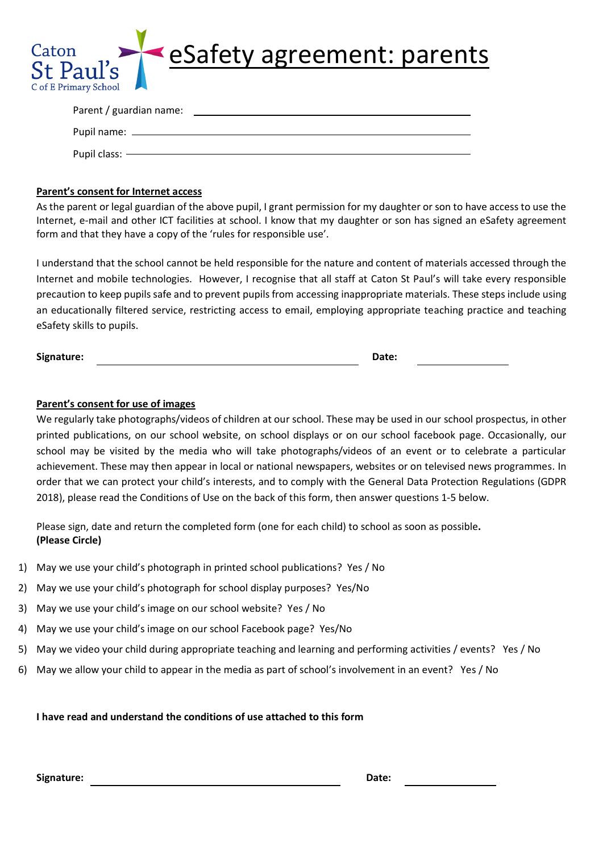

| Parent / guardian name: |  |
|-------------------------|--|
|                         |  |
| Pupil name: _______     |  |
|                         |  |
| Pupil class: $-$        |  |

## **Parent's consent for Internet access**

As the parent or legal guardian of the above pupil, I grant permission for my daughter or son to have access to use the Internet, e-mail and other ICT facilities at school. I know that my daughter or son has signed an eSafety agreement form and that they have a copy of the 'rules for responsible use'.

I understand that the school cannot be held responsible for the nature and content of materials accessed through the Internet and mobile technologies. However, I recognise that all staff at Caton St Paul's will take every responsible precaution to keep pupils safe and to prevent pupils from accessing inappropriate materials. These steps include using an educationally filtered service, restricting access to email, employing appropriate teaching practice and teaching eSafety skills to pupils.

**Signature: Date:** 

# **Parent's consent for use of images**

We regularly take photographs/videos of children at our school. These may be used in our school prospectus, in other printed publications, on our school website, on school displays or on our school facebook page. Occasionally, our school may be visited by the media who will take photographs/videos of an event or to celebrate a particular achievement. These may then appear in local or national newspapers, websites or on televised news programmes. In order that we can protect your child's interests, and to comply with the General Data Protection Regulations (GDPR 2018), please read the Conditions of Use on the back of this form, then answer questions 1-5 below.

Please sign, date and return the completed form (one for each child) to school as soon as possible**. (Please Circle)**

- 1) May we use your child's photograph in printed school publications? Yes / No
- 2) May we use your child's photograph for school display purposes? Yes/No
- 3) May we use your child's image on our school website? Yes / No
- 4) May we use your child's image on our school Facebook page? Yes/No
- 5) May we video your child during appropriate teaching and learning and performing activities / events? Yes / No
- 6) May we allow your child to appear in the media as part of school's involvement in an event? Yes / No

## **I have read and understand the conditions of use attached to this form**

**Signature: Date:**